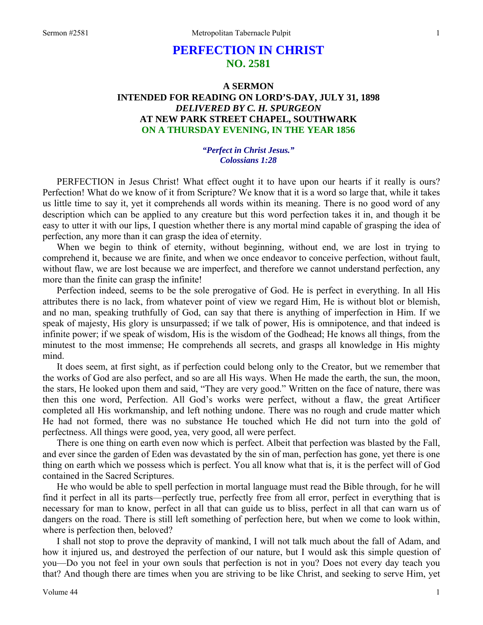# **PERFECTION IN CHRIST NO. 2581**

# **A SERMON INTENDED FOR READING ON LORD'S-DAY, JULY 31, 1898**  *DELIVERED BY C. H. SPURGEON*  **AT NEW PARK STREET CHAPEL, SOUTHWARK ON A THURSDAY EVENING, IN THE YEAR 1856**

#### *"Perfect in Christ Jesus." Colossians 1:28*

PERFECTION in Jesus Christ! What effect ought it to have upon our hearts if it really is ours? Perfection! What do we know of it from Scripture? We know that it is a word so large that, while it takes us little time to say it, yet it comprehends all words within its meaning. There is no good word of any description which can be applied to any creature but this word perfection takes it in, and though it be easy to utter it with our lips, I question whether there is any mortal mind capable of grasping the idea of perfection, any more than it can grasp the idea of eternity.

When we begin to think of eternity, without beginning, without end, we are lost in trying to comprehend it, because we are finite, and when we once endeavor to conceive perfection, without fault, without flaw, we are lost because we are imperfect, and therefore we cannot understand perfection, any more than the finite can grasp the infinite!

Perfection indeed, seems to be the sole prerogative of God. He is perfect in everything. In all His attributes there is no lack, from whatever point of view we regard Him, He is without blot or blemish, and no man, speaking truthfully of God, can say that there is anything of imperfection in Him. If we speak of majesty, His glory is unsurpassed; if we talk of power, His is omnipotence, and that indeed is infinite power; if we speak of wisdom, His is the wisdom of the Godhead; He knows all things, from the minutest to the most immense; He comprehends all secrets, and grasps all knowledge in His mighty mind.

It does seem, at first sight, as if perfection could belong only to the Creator, but we remember that the works of God are also perfect, and so are all His ways. When He made the earth, the sun, the moon, the stars, He looked upon them and said, "They are very good." Written on the face of nature, there was then this one word, Perfection. All God's works were perfect, without a flaw, the great Artificer completed all His workmanship, and left nothing undone. There was no rough and crude matter which He had not formed, there was no substance He touched which He did not turn into the gold of perfectness. All things were good, yea, very good, all were perfect.

There is one thing on earth even now which is perfect. Albeit that perfection was blasted by the Fall, and ever since the garden of Eden was devastated by the sin of man, perfection has gone, yet there is one thing on earth which we possess which is perfect. You all know what that is, it is the perfect will of God contained in the Sacred Scriptures.

He who would be able to spell perfection in mortal language must read the Bible through, for he will find it perfect in all its parts—perfectly true, perfectly free from all error, perfect in everything that is necessary for man to know, perfect in all that can guide us to bliss, perfect in all that can warn us of dangers on the road. There is still left something of perfection here, but when we come to look within, where is perfection then, beloved?

I shall not stop to prove the depravity of mankind, I will not talk much about the fall of Adam, and how it injured us, and destroyed the perfection of our nature, but I would ask this simple question of you—Do you not feel in your own souls that perfection is not in you? Does not every day teach you that? And though there are times when you are striving to be like Christ, and seeking to serve Him, yet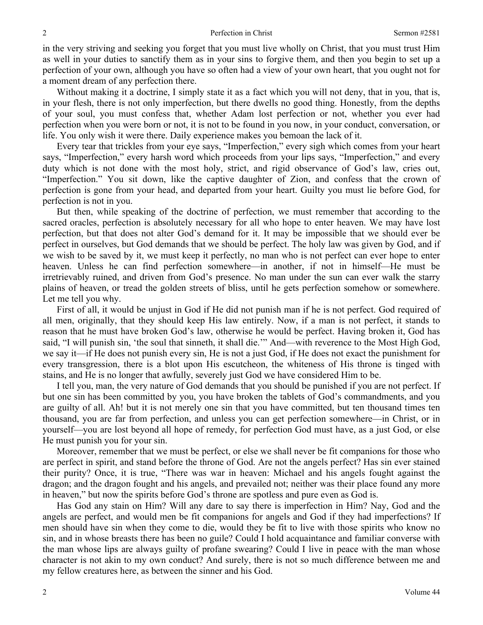in the very striving and seeking you forget that you must live wholly on Christ, that you must trust Him as well in your duties to sanctify them as in your sins to forgive them, and then you begin to set up a perfection of your own, although you have so often had a view of your own heart, that you ought not for a moment dream of any perfection there.

Without making it a doctrine, I simply state it as a fact which you will not deny, that in you, that is, in your flesh, there is not only imperfection, but there dwells no good thing. Honestly, from the depths of your soul, you must confess that, whether Adam lost perfection or not, whether you ever had perfection when you were born or not, it is not to be found in you now, in your conduct, conversation, or life. You only wish it were there. Daily experience makes you bemoan the lack of it.

Every tear that trickles from your eye says, "Imperfection," every sigh which comes from your heart says, "Imperfection," every harsh word which proceeds from your lips says, "Imperfection," and every duty which is not done with the most holy, strict, and rigid observance of God's law, cries out, "Imperfection." You sit down, like the captive daughter of Zion, and confess that the crown of perfection is gone from your head, and departed from your heart. Guilty you must lie before God, for perfection is not in you.

But then, while speaking of the doctrine of perfection, we must remember that according to the sacred oracles, perfection is absolutely necessary for all who hope to enter heaven. We may have lost perfection, but that does not alter God's demand for it. It may be impossible that we should ever be perfect in ourselves, but God demands that we should be perfect. The holy law was given by God, and if we wish to be saved by it, we must keep it perfectly, no man who is not perfect can ever hope to enter heaven. Unless he can find perfection somewhere—in another, if not in himself—He must be irretrievably ruined, and driven from God's presence. No man under the sun can ever walk the starry plains of heaven, or tread the golden streets of bliss, until he gets perfection somehow or somewhere. Let me tell you why.

First of all, it would be unjust in God if He did not punish man if he is not perfect. God required of all men, originally, that they should keep His law entirely. Now, if a man is not perfect, it stands to reason that he must have broken God's law, otherwise he would be perfect. Having broken it, God has said, "I will punish sin, 'the soul that sinneth, it shall die.'" And—with reverence to the Most High God, we say it—if He does not punish every sin, He is not a just God, if He does not exact the punishment for every transgression, there is a blot upon His escutcheon, the whiteness of His throne is tinged with stains, and He is no longer that awfully, severely just God we have considered Him to be.

I tell you, man, the very nature of God demands that you should be punished if you are not perfect. If but one sin has been committed by you, you have broken the tablets of God's commandments, and you are guilty of all. Ah! but it is not merely one sin that you have committed, but ten thousand times ten thousand, you are far from perfection, and unless you can get perfection somewhere—in Christ, or in yourself—you are lost beyond all hope of remedy, for perfection God must have, as a just God*,* or else He must punish you for your sin.

Moreover, remember that we must be perfect, or else we shall never be fit companions for those who are perfect in spirit, and stand before the throne of God. Are not the angels perfect? Has sin ever stained their purity? Once, it is true, "There was war in heaven: Michael and his angels fought against the dragon; and the dragon fought and his angels, and prevailed not; neither was their place found any more in heaven," but now the spirits before God's throne are spotless and pure even as God is.

Has God any stain on Him? Will any dare to say there is imperfection in Him? Nay, God and the angels are perfect, and would men be fit companions for angels and God if they had imperfections? If men should have sin when they come to die, would they be fit to live with those spirits who know no sin, and in whose breasts there has been no guile? Could I hold acquaintance and familiar converse with the man whose lips are always guilty of profane swearing? Could I live in peace with the man whose character is not akin to my own conduct? And surely, there is not so much difference between me and my fellow creatures here, as between the sinner and his God.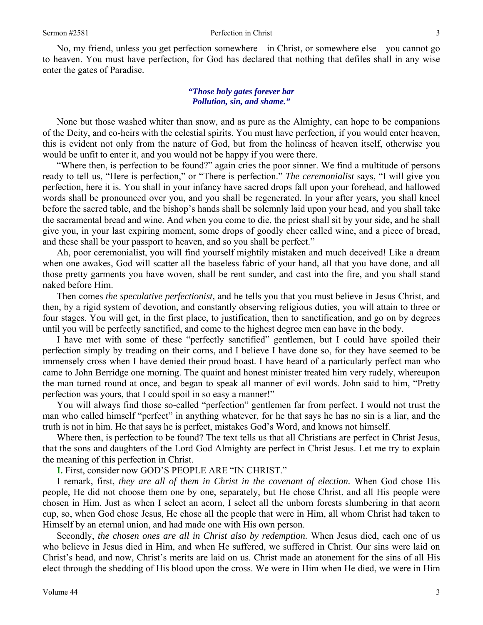No, my friend, unless you get perfection somewhere—in Christ, or somewhere else—you cannot go to heaven. You must have perfection, for God has declared that nothing that defiles shall in any wise enter the gates of Paradise.

# *"Those holy gates forever bar Pollution, sin, and shame."*

None but those washed whiter than snow, and as pure as the Almighty, can hope to be companions of the Deity, and co-heirs with the celestial spirits. You must have perfection, if you would enter heaven, this is evident not only from the nature of God, but from the holiness of heaven itself, otherwise you would be unfit to enter it, and you would not be happy if you were there.

"Where then, is perfection to be found?" again cries the poor sinner. We find a multitude of persons ready to tell us, "Here is perfection," or "There is perfection." *The ceremonialist* says, "I will give you perfection, here it is. You shall in your infancy have sacred drops fall upon your forehead, and hallowed words shall be pronounced over you, and you shall be regenerated. In your after years, you shall kneel before the sacred table, and the bishop's hands shall be solemnly laid upon your head, and you shall take the sacramental bread and wine. And when you come to die, the priest shall sit by your side, and he shall give you, in your last expiring moment, some drops of goodly cheer called wine, and a piece of bread, and these shall be your passport to heaven, and so you shall be perfect."

Ah, poor ceremonialist, you will find yourself mightily mistaken and much deceived! Like a dream when one awakes, God will scatter all the baseless fabric of your hand, all that you have done, and all those pretty garments you have woven, shall be rent sunder, and cast into the fire, and you shall stand naked before Him.

Then comes *the speculative perfectionist,* and he tells you that you must believe in Jesus Christ, and then, by a rigid system of devotion, and constantly observing religious duties, you will attain to three or four stages. You will get, in the first place, to justification, then to sanctification, and go on by degrees until you will be perfectly sanctified, and come to the highest degree men can have in the body.

I have met with some of these "perfectly sanctified" gentlemen, but I could have spoiled their perfection simply by treading on their corns, and I believe I have done so, for they have seemed to be immensely cross when I have denied their proud boast. I have heard of a particularly perfect man who came to John Berridge one morning. The quaint and honest minister treated him very rudely, whereupon the man turned round at once, and began to speak all manner of evil words. John said to him, "Pretty perfection was yours, that I could spoil in so easy a manner!"

You will always find those so-called "perfection" gentlemen far from perfect. I would not trust the man who called himself "perfect" in anything whatever, for he that says he has no sin is a liar, and the truth is not in him. He that says he is perfect, mistakes God's Word, and knows not himself.

Where then, is perfection to be found? The text tells us that all Christians are perfect in Christ Jesus, that the sons and daughters of the Lord God Almighty are perfect in Christ Jesus. Let me try to explain the meaning of this perfection in Christ.

**I.** First, consider now GOD'S PEOPLE ARE "IN CHRIST."

I remark, first, *they are all of them in Christ in the covenant of election.* When God chose His people, He did not choose them one by one, separately, but He chose Christ, and all His people were chosen in Him. Just as when I select an acorn, I select all the unborn forests slumbering in that acorn cup, so, when God chose Jesus, He chose all the people that were in Him, all whom Christ had taken to Himself by an eternal union, and had made one with His own person.

Secondly, *the chosen ones are all in Christ also by redemption.* When Jesus died, each one of us who believe in Jesus died in Him, and when He suffered, we suffered in Christ. Our sins were laid on Christ's head, and now, Christ's merits are laid on us. Christ made an atonement for the sins of all His elect through the shedding of His blood upon the cross. We were in Him when He died, we were in Him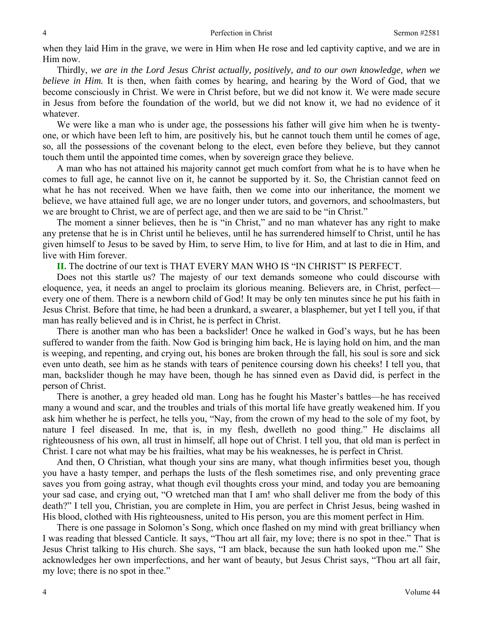when they laid Him in the grave, we were in Him when He rose and led captivity captive, and we are in Him now.

Thirdly, *we are in the Lord Jesus Christ actually, positively, and to our own knowledge, when we believe in Him.* It is then, when faith comes by hearing, and hearing by the Word of God, that we become consciously in Christ. We were in Christ before, but we did not know it. We were made secure in Jesus from before the foundation of the world, but we did not know it, we had no evidence of it whatever.

We were like a man who is under age, the possessions his father will give him when he is twentyone, or which have been left to him, are positively his, but he cannot touch them until he comes of age, so, all the possessions of the covenant belong to the elect, even before they believe, but they cannot touch them until the appointed time comes, when by sovereign grace they believe.

A man who has not attained his majority cannot get much comfort from what he is to have when he comes to full age, he cannot live on it, he cannot be supported by it. So, the Christian cannot feed on what he has not received. When we have faith, then we come into our inheritance, the moment we believe, we have attained full age, we are no longer under tutors, and governors, and schoolmasters, but we are brought to Christ, we are of perfect age, and then we are said to be "in Christ."

The moment a sinner believes, then he is "in Christ," and no man whatever has any right to make any pretense that he is in Christ until he believes, until he has surrendered himself to Christ, until he has given himself to Jesus to be saved by Him, to serve Him, to live for Him, and at last to die in Him, and live with Him forever.

**II.** The doctrine of our text is THAT EVERY MAN WHO IS "IN CHRIST" IS PERFECT.

Does not this startle us? The majesty of our text demands someone who could discourse with eloquence, yea, it needs an angel to proclaim its glorious meaning. Believers are, in Christ, perfect every one of them. There is a newborn child of God! It may be only ten minutes since he put his faith in Jesus Christ. Before that time, he had been a drunkard, a swearer, a blasphemer, but yet I tell you, if that man has really believed and is in Christ, he is perfect in Christ.

There is another man who has been a backslider! Once he walked in God's ways, but he has been suffered to wander from the faith. Now God is bringing him back, He is laying hold on him, and the man is weeping, and repenting, and crying out, his bones are broken through the fall, his soul is sore and sick even unto death, see him as he stands with tears of penitence coursing down his cheeks! I tell you, that man, backslider though he may have been, though he has sinned even as David did, is perfect in the person of Christ.

There is another, a grey headed old man. Long has he fought his Master's battles—he has received many a wound and scar, and the troubles and trials of this mortal life have greatly weakened him. If you ask him whether he is perfect, he tells you, "Nay, from the crown of my head to the sole of my foot, by nature I feel diseased. In me, that is, in my flesh, dwelleth no good thing." He disclaims all righteousness of his own, all trust in himself, all hope out of Christ. I tell you, that old man is perfect in Christ. I care not what may be his frailties, what may be his weaknesses, he is perfect in Christ.

And then, O Christian, what though your sins are many, what though infirmities beset you, though you have a hasty temper, and perhaps the lusts of the flesh sometimes rise, and only preventing grace saves you from going astray, what though evil thoughts cross your mind, and today you are bemoaning your sad case, and crying out, "O wretched man that I am! who shall deliver me from the body of this death?" I tell you, Christian, you are complete in Him, you are perfect in Christ Jesus, being washed in His blood, clothed with His righteousness*,* united to His person, you are this moment perfect in Him.

There is one passage in Solomon's Song, which once flashed on my mind with great brilliancy when I was reading that blessed Canticle. It says, "Thou art all fair, my love; there is no spot in thee." That is Jesus Christ talking to His church. She says, "I am black, because the sun hath looked upon me." She acknowledges her own imperfections, and her want of beauty, but Jesus Christ says, "Thou art all fair, my love; there is no spot in thee."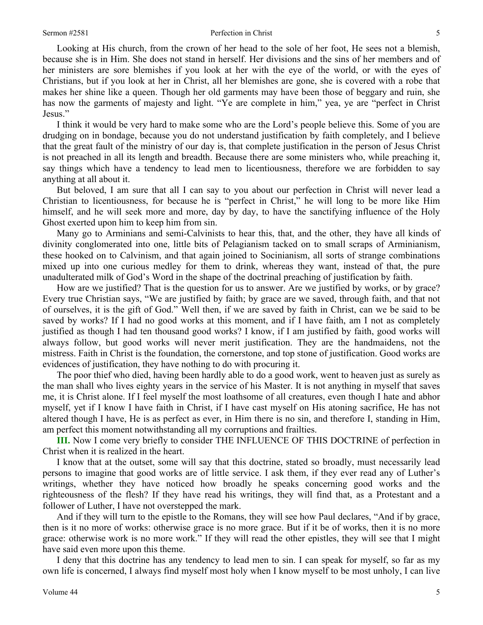Looking at His church, from the crown of her head to the sole of her foot, He sees not a blemish, because she is in Him. She does not stand in herself. Her divisions and the sins of her members and of her ministers are sore blemishes if you look at her with the eye of the world, or with the eyes of Christians, but if you look at her in Christ, all her blemishes are gone, she is covered with a robe that makes her shine like a queen. Though her old garments may have been those of beggary and ruin, she has now the garments of majesty and light. "Ye are complete in him," yea, ye are "perfect in Christ Jesus."

I think it would be very hard to make some who are the Lord's people believe this. Some of you are drudging on in bondage, because you do not understand justification by faith completely, and I believe that the great fault of the ministry of our day is, that complete justification in the person of Jesus Christ is not preached in all its length and breadth. Because there are some ministers who, while preaching it, say things which have a tendency to lead men to licentiousness, therefore we are forbidden to say anything at all about it.

But beloved, I am sure that all I can say to you about our perfection in Christ will never lead a Christian to licentiousness, for because he is "perfect in Christ," he will long to be more like Him himself, and he will seek more and more, day by day, to have the sanctifying influence of the Holy Ghost exerted upon him to keep him from sin.

Many go to Arminians and semi-Calvinists to hear this, that, and the other, they have all kinds of divinity conglomerated into one, little bits of Pelagianism tacked on to small scraps of Arminianism, these hooked on to Calvinism, and that again joined to Socinianism, all sorts of strange combinations mixed up into one curious medley for them to drink, whereas they want, instead of that, the pure unadulterated milk of God's Word in the shape of the doctrinal preaching of justification by faith.

How are we justified? That is the question for us to answer. Are we justified by works, or by grace? Every true Christian says, "We are justified by faith; by grace are we saved, through faith, and that not of ourselves, it is the gift of God." Well then, if we are saved by faith in Christ, can we be said to be saved by works? If I had no good works at this moment, and if I have faith, am I not as completely justified as though I had ten thousand good works? I know, if I am justified by faith, good works will always follow, but good works will never merit justification. They are the handmaidens, not the mistress. Faith in Christ is the foundation, the cornerstone, and top stone of justification. Good works are evidences of justification, they have nothing to do with procuring it.

The poor thief who died, having been hardly able to do a good work, went to heaven just as surely as the man shall who lives eighty years in the service of his Master. It is not anything in myself that saves me, it is Christ alone. If I feel myself the most loathsome of all creatures, even though I hate and abhor myself, yet if I know I have faith in Christ, if I have cast myself on His atoning sacrifice, He has not altered though I have, He is as perfect as ever, in Him there is no sin, and therefore I, standing in Him, am perfect this moment notwithstanding all my corruptions and frailties.

**III.** Now I come very briefly to consider THE INFLUENCE OF THIS DOCTRINE of perfection in Christ when it is realized in the heart.

I know that at the outset, some will say that this doctrine, stated so broadly, must necessarily lead persons to imagine that good works are of little service. I ask them, if they ever read any of Luther's writings, whether they have noticed how broadly he speaks concerning good works and the righteousness of the flesh? If they have read his writings, they will find that, as a Protestant and a follower of Luther, I have not overstepped the mark.

And if they will turn to the epistle to the Romans, they will see how Paul declares, "And if by grace, then is it no more of works: otherwise grace is no more grace. But if it be of works, then it is no more grace: otherwise work is no more work." If they will read the other epistles, they will see that I might have said even more upon this theme.

I deny that this doctrine has any tendency to lead men to sin. I can speak for myself, so far as my own life is concerned, I always find myself most holy when I know myself to be most unholy, I can live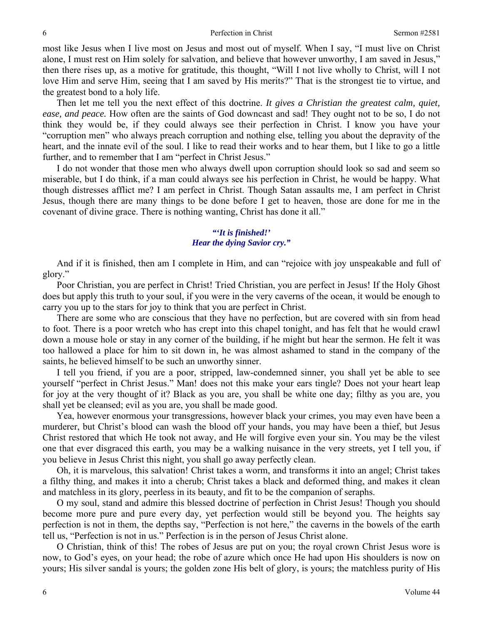most like Jesus when I live most on Jesus and most out of myself. When I say, "I must live on Christ alone, I must rest on Him solely for salvation, and believe that however unworthy, I am saved in Jesus," then there rises up, as a motive for gratitude, this thought, "Will I not live wholly to Christ, will I not love Him and serve Him, seeing that I am saved by His merits?" That is the strongest tie to virtue, and the greatest bond to a holy life.

Then let me tell you the next effect of this doctrine. *It gives a Christian the greatest calm, quiet, ease, and peace.* How often are the saints of God downcast and sad! They ought not to be so, I do not think they would be, if they could always see their perfection in Christ. I know you have your "corruption men" who always preach corruption and nothing else, telling you about the depravity of the heart, and the innate evil of the soul. I like to read their works and to hear them, but I like to go a little further, and to remember that I am "perfect in Christ Jesus."

I do not wonder that those men who always dwell upon corruption should look so sad and seem so miserable, but I do think, if a man could always see his perfection in Christ, he would be happy. What though distresses afflict me? I am perfect in Christ. Though Satan assaults me, I am perfect in Christ Jesus, though there are many things to be done before I get to heaven, those are done for me in the covenant of divine grace. There is nothing wanting, Christ has done it all."

# *"'It is finished!' Hear the dying Savior cry."*

And if it is finished, then am I complete in Him, and can "rejoice with joy unspeakable and full of glory."

Poor Christian, you are perfect in Christ! Tried Christian, you are perfect in Jesus! If the Holy Ghost does but apply this truth to your soul, if you were in the very caverns of the ocean, it would be enough to carry you up to the stars for joy to think that you are perfect in Christ.

There are some who are conscious that they have no perfection, but are covered with sin from head to foot. There is a poor wretch who has crept into this chapel tonight, and has felt that he would crawl down a mouse hole or stay in any corner of the building, if he might but hear the sermon. He felt it was too hallowed a place for him to sit down in, he was almost ashamed to stand in the company of the saints, he believed himself to be such an unworthy sinner.

I tell you friend, if you are a poor, stripped, law-condemned sinner, you shall yet be able to see yourself "perfect in Christ Jesus." Man! does not this make your ears tingle? Does not your heart leap for joy at the very thought of it? Black as you are, you shall be white one day; filthy as you are, you shall yet be cleansed; evil as you are, you shall be made good.

Yea, however enormous your transgressions, however black your crimes, you may even have been a murderer, but Christ's blood can wash the blood off your hands, you may have been a thief, but Jesus Christ restored that which He took not away, and He will forgive even your sin. You may be the vilest one that ever disgraced this earth, you may be a walking nuisance in the very streets, yet I tell you, if you believe in Jesus Christ this night, you shall go away perfectly clean.

Oh, it is marvelous, this salvation! Christ takes a worm, and transforms it into an angel; Christ takes a filthy thing, and makes it into a cherub; Christ takes a black and deformed thing, and makes it clean and matchless in its glory, peerless in its beauty, and fit to be the companion of seraphs.

O my soul, stand and admire this blessed doctrine of perfection in Christ Jesus! Though you should become more pure and pure every day, yet perfection would still be beyond you. The heights say perfection is not in them, the depths say, "Perfection is not here," the caverns in the bowels of the earth tell us, "Perfection is not in us." Perfection is in the person of Jesus Christ alone.

O Christian, think of this! The robes of Jesus are put on you; the royal crown Christ Jesus wore is now, to God's eyes, on your head; the robe of azure which once He had upon His shoulders is now on yours; His silver sandal is yours; the golden zone His belt of glory, is yours; the matchless purity of His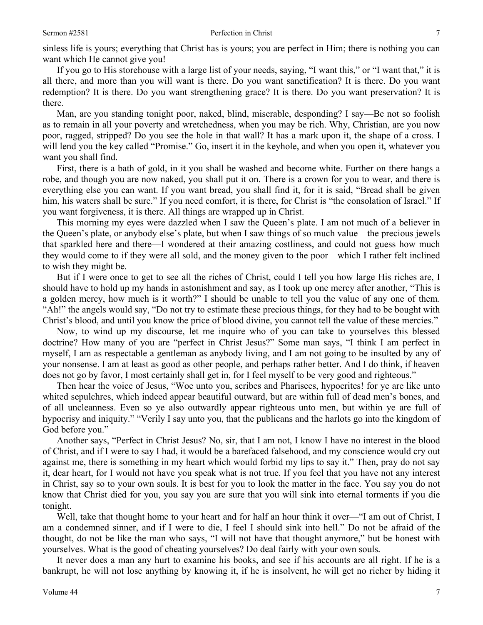sinless life is yours; everything that Christ has is yours; you are perfect in Him; there is nothing you can want which He cannot give you!

If you go to His storehouse with a large list of your needs, saying, "I want this," or "I want that," it is all there, and more than you will want is there. Do you want sanctification? It is there. Do you want redemption? It is there. Do you want strengthening grace? It is there. Do you want preservation? It is there.

Man, are you standing tonight poor, naked, blind, miserable, desponding? I say—Be not so foolish as to remain in all your poverty and wretchedness, when you may be rich. Why, Christian, are you now poor, ragged, stripped? Do you see the hole in that wall? It has a mark upon it, the shape of a cross. I will lend you the key called "Promise." Go, insert it in the keyhole, and when you open it, whatever you want you shall find.

First, there is a bath of gold, in it you shall be washed and become white. Further on there hangs a robe, and though you are now naked, you shall put it on. There is a crown for you to wear, and there is everything else you can want. If you want bread, you shall find it, for it is said, "Bread shall be given him, his waters shall be sure." If you need comfort, it is there, for Christ is "the consolation of Israel." If you want forgiveness, it is there. All things are wrapped up in Christ.

This morning my eyes were dazzled when I saw the Queen's plate. I am not much of a believer in the Queen's plate, or anybody else's plate, but when I saw things of so much value—the precious jewels that sparkled here and there—I wondered at their amazing costliness, and could not guess how much they would come to if they were all sold, and the money given to the poor—which I rather felt inclined to wish they might be.

But if I were once to get to see all the riches of Christ, could I tell you how large His riches are, I should have to hold up my hands in astonishment and say, as I took up one mercy after another, "This is a golden mercy, how much is it worth?" I should be unable to tell you the value of any one of them. "Ah!" the angels would say, "Do not try to estimate these precious things, for they had to be bought with Christ's blood, and until you know the price of blood divine, you cannot tell the value of these mercies."

Now, to wind up my discourse, let me inquire who of you can take to yourselves this blessed doctrine? How many of you are "perfect in Christ Jesus?" Some man says, "I think I am perfect in myself, I am as respectable a gentleman as anybody living, and I am not going to be insulted by any of your nonsense. I am at least as good as other people, and perhaps rather better. And I do think, if heaven does not go by favor, I most certainly shall get in, for I feel myself to be very good and righteous."

Then hear the voice of Jesus, "Woe unto you, scribes and Pharisees, hypocrites! for ye are like unto whited sepulchres, which indeed appear beautiful outward, but are within full of dead men's bones, and of all uncleanness. Even so ye also outwardly appear righteous unto men, but within ye are full of hypocrisy and iniquity." "Verily I say unto you, that the publicans and the harlots go into the kingdom of God before you."

Another says, "Perfect in Christ Jesus? No, sir, that I am not, I know I have no interest in the blood of Christ, and if I were to say I had, it would be a barefaced falsehood, and my conscience would cry out against me, there is something in my heart which would forbid my lips to say it." Then, pray do not say it, dear heart, for I would not have you speak what is not true. If you feel that you have not any interest in Christ, say so to your own souls. It is best for you to look the matter in the face. You say you do not know that Christ died for you, you say you are sure that you will sink into eternal torments if you die tonight.

Well, take that thought home to your heart and for half an hour think it over—"I am out of Christ, I am a condemned sinner, and if I were to die, I feel I should sink into hell." Do not be afraid of the thought, do not be like the man who says, "I will not have that thought anymore," but be honest with yourselves. What is the good of cheating yourselves? Do deal fairly with your own souls*.* 

It never does a man any hurt to examine his books, and see if his accounts are all right. If he is a bankrupt, he will not lose anything by knowing it, if he is insolvent, he will get no richer by hiding it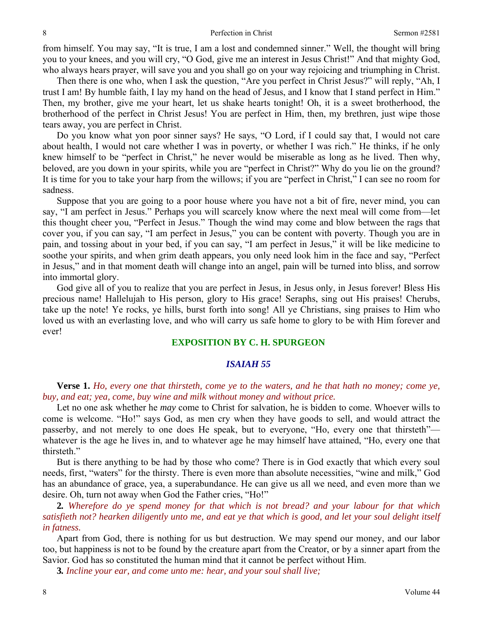from himself. You may say, "It is true, I am a lost and condemned sinner." Well, the thought will bring you to your knees, and you will cry, "O God, give me an interest in Jesus Christ!" And that mighty God, who always hears prayer, will save you and you shall go on your way rejoicing and triumphing in Christ.

Then there is one who, when I ask the question, "Are you perfect in Christ Jesus?" will reply, "Ah, I trust I am! By humble faith, I lay my hand on the head of Jesus, and I know that I stand perfect in Him." Then, my brother, give me your heart, let us shake hearts tonight! Oh, it is a sweet brotherhood, the brotherhood of the perfect in Christ Jesus! You are perfect in Him, then, my brethren, just wipe those tears away, you are perfect in Christ.

Do you know what yon poor sinner says? He says, "O Lord, if I could say that, I would not care about health, I would not care whether I was in poverty, or whether I was rich." He thinks, if he only knew himself to be "perfect in Christ," he never would be miserable as long as he lived. Then why, beloved, are you down in your spirits, while you are "perfect in Christ?" Why do you lie on the ground? It is time for you to take your harp from the willows; if you are "perfect in Christ," I can see no room for sadness.

Suppose that you are going to a poor house where you have not a bit of fire, never mind, you can say, "I am perfect in Jesus." Perhaps you will scarcely know where the next meal will come from—let this thought cheer you, "Perfect in Jesus." Though the wind may come and blow between the rags that cover you, if you can say*,* "I am perfect in Jesus," you can be content with poverty. Though you are in pain, and tossing about in your bed, if you can say, "I am perfect in Jesus," it will be like medicine to soothe your spirits, and when grim death appears, you only need look him in the face and say, "Perfect in Jesus," and in that moment death will change into an angel, pain will be turned into bliss, and sorrow into immortal glory.

God give all of you to realize that you are perfect in Jesus, in Jesus only, in Jesus forever! Bless His precious name! Hallelujah to His person, glory to His grace! Seraphs, sing out His praises! Cherubs, take up the note! Ye rocks, ye hills, burst forth into song! All ye Christians, sing praises to Him who loved us with an everlasting love, and who will carry us safe home to glory to be with Him forever and ever!

# **EXPOSITION BY C. H. SPURGEON**

### *ISAIAH 55*

**Verse 1.** *Ho, every one that thirsteth, come ye to the waters, and he that hath no money; come ye, buy, and eat; yea, come, buy wine and milk without money and without price.* 

Let no one ask whether he *may* come to Christ for salvation, he is bidden to come. Whoever wills to come is welcome. "Ho!" says God, as men cry when they have goods to sell, and would attract the passerby, and not merely to one does He speak, but to everyone, "Ho, every one that thirsteth" whatever is the age he lives in, and to whatever age he may himself have attained, "Ho, every one that thirsteth."

But is there anything to be had by those who come? There is in God exactly that which every soul needs, first, "waters" for the thirsty. There is even more than absolute necessities, "wine and milk," God has an abundance of grace, yea, a superabundance. He can give us all we need, and even more than we desire. Oh, turn not away when God the Father cries, "Ho!"

**2***. Wherefore do ye spend money for that which is not bread? and your labour for that which satisfieth not? hearken diligently unto me, and eat ye that which is good, and let your soul delight itself in fatness.* 

Apart from God, there is nothing for us but destruction. We may spend our money, and our labor too, but happiness is not to be found by the creature apart from the Creator, or by a sinner apart from the Savior. God has so constituted the human mind that it cannot be perfect without Him.

**3***. Incline your ear, and come unto me: hear, and your soul shall live;*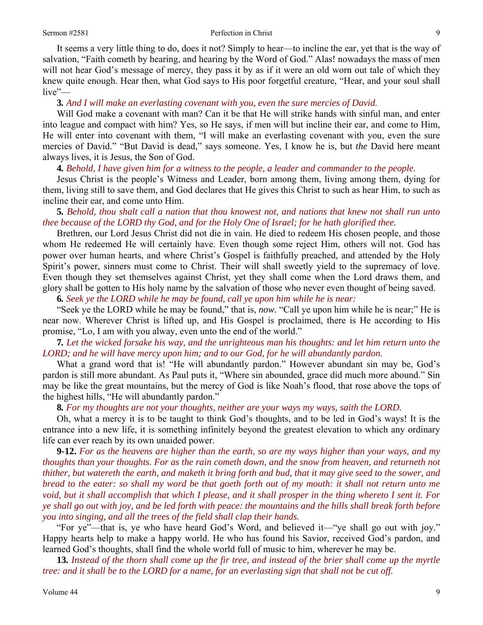It seems a very little thing to do, does it not? Simply to hear—to incline the ear, yet that is the way of salvation, "Faith cometh by hearing, and hearing by the Word of God." Alas! nowadays the mass of men will not hear God's message of mercy, they pass it by as if it were an old worn out tale of which they knew quite enough. Hear then, what God says to His poor forgetful creature, "Hear, and your soul shall live"—

**3***. And I will make an everlasting covenant with you, even the sure mercies of David.* 

Will God make a covenant with man? Can it be that He will strike hands with sinful man, and enter into league and compact with him? Yes, so He says, if men will but incline their ear, and come to Him, He will enter into covenant with them, "I will make an everlasting covenant with you, even the sure mercies of David." "But David is dead," says someone. Yes, I know he is, but *the* David here meant always lives, it is Jesus, the Son of God.

**4***. Behold, I have given him for a witness to the people, a leader and commander to the people.* 

Jesus Christ is the people's Witness and Leader, born among them, living among them, dying for them, living still to save them, and God declares that He gives this Christ to such as hear Him, to such as incline their ear, and come unto Him.

**5***. Behold, thou shalt call a nation that thou knowest not, and nations that knew not shall run unto thee because of the LORD thy God, and for the Holy One of Israel; for he hath glorified thee.* 

Brethren, our Lord Jesus Christ did not die in vain. He died to redeem His chosen people, and those whom He redeemed He will certainly have. Even though some reject Him, others will not. God has power over human hearts, and where Christ's Gospel is faithfully preached, and attended by the Holy Spirit's power, sinners must come to Christ. Their will shall sweetly yield to the supremacy of love. Even though they set themselves against Christ, yet they shall come when the Lord draws them, and glory shall be gotten to His holy name by the salvation of those who never even thought of being saved.

**6***. Seek ye the LORD while he may be found, call ye upon him while he is near:* 

"Seek ye the LORD while he may be found," that is, *now.* "Call ye upon him while he is near;" He is near now. Wherever Christ is lifted up, and His Gospel is proclaimed, there is He according to His promise, "Lo, I am with you alway, even unto the end of the world."

**7***. Let the wicked forsake his way, and the unrighteous man his thoughts: and let him return unto the LORD; and he will have mercy upon him; and to our God, for he will abundantly pardon.* 

What a grand word that is! "He will abundantly pardon." However abundant sin may be, God's pardon is still more abundant. As Paul puts it, "Where sin abounded, grace did much more abound." Sin may be like the great mountains, but the mercy of God is like Noah's flood, that rose above the tops of the highest hills, "He will abundantly pardon."

**8***. For my thoughts are not your thoughts, neither are your ways my ways, saith the LORD.* 

Oh, what a mercy it is to be taught to think God's thoughts, and to be led in God's ways! It is the entrance into a new life, it is something infinitely beyond the greatest elevation to which any ordinary life can ever reach by its own unaided power.

**9-12.** *For as the heavens are higher than the earth, so are my ways higher than your ways, and my thoughts than your thoughts. For as the rain cometh down, and the snow from heaven, and returneth not thither, but watereth the earth, and maketh it bring forth and bud, that it may give seed to the sower, and bread to the eater: so shall my word be that goeth forth out of my mouth: it shall not return unto me void, but it shall accomplish that which I please, and it shall prosper in the thing whereto I sent it. For ye shall go out with joy, and be led forth with peace: the mountains and the hills shall break forth before you into singing, and all the trees of the field shall clap their hands.* 

"For ye"—that is, ye who have heard God's Word, and believed it—"ye shall go out with joy." Happy hearts help to make a happy world. He who has found his Savior, received God's pardon, and learned God's thoughts, shall find the whole world full of music to him, wherever he may be.

**13***. Instead of the thorn shall come up the fir tree, and instead of the brier shall come up the myrtle tree: and it shall be to the LORD for a name, for an everlasting sign that shall not be cut off.*